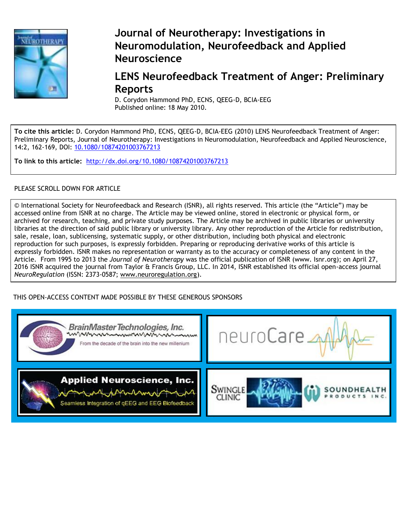

# **Journal of Neurotherapy: Investigations in Neuromodulation, Neurofeedback and Applied Neuroscience**

## **LENS Neurofeedback Treatment of Anger: Preliminary Reports**

D. Corydon Hammond PhD, ECNS, QEEG-D, BCIA-EEG Published online: 18 May 2010.

**To cite this article:** D. Corydon Hammond PhD, ECNS, QEEG-D, BCIA-EEG (2010) LENS Neurofeedback Treatment of Anger: Preliminary Reports, Journal of Neurotherapy: Investigations in Neuromodulation, Neurofeedback and Applied Neuroscience, 14:2, 162-169, DOI: 10.1080/10874201003767213

**To link to this article:** <http://dx.doi.org/10.1080/10874201003767213>

## PLEASE SCROLL DOWN FOR ARTICLE

© International Society for Neurofeedback and Research (ISNR), all rights reserved. This article (the "Article") may be accessed online from ISNR at no charge. The Article may be viewed online, stored in electronic or physical form, or archived for research, teaching, and private study purposes. The Article may be archived in public libraries or university libraries at the direction of said public library or university library. Any other reproduction of the Article for redistribution, sale, resale, loan, sublicensing, systematic supply, or other distribution, including both physical and electronic reproduction for such purposes, is expressly forbidden. Preparing or reproducing derivative works of this article is expressly forbidden. ISNR makes no representation or warranty as to the accuracy or completeness of any content in the Article. From 1995 to 2013 the *Journal of Neurotherapy* was the official publication of ISNR (www. Isnr.org); on April 27, 2016 ISNR acquired the journal from Taylor & Francis Group, LLC. In 2014, ISNR established its official open-access journal *NeuroRegulation* (ISSN: 2373-0587; [www.neuroregulation.org\)](http://www.neuroregulation.org/).

## THIS OPEN-ACCESS CONTENT MADE POSSIBLE BY THESE GENEROUS SPONSORS

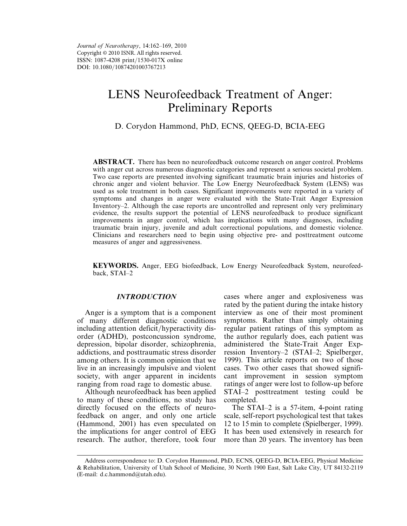Journal of Neurotherapy, 14:162–169, 2010 Copyright © 2010 ISNR. All rights reserved. ISSN: 1087-4208 print/1530-017X online DOI: 10.1080/10874201003767213

# LENS Neurofeedback Treatment of Anger: Preliminary Reports

## D. Corydon Hammond, PhD, ECNS, QEEG-D, BCIA-EEG

ABSTRACT. There has been no neurofeedback outcome research on anger control. Problems with anger cut across numerous diagnostic categories and represent a serious societal problem. Two case reports are presented involving significant traumatic brain injuries and histories of chronic anger and violent behavior. The Low Energy Neurofeedback System (LENS) was used as sole treatment in both cases. Significant improvements were reported in a variety of symptoms and changes in anger were evaluated with the State-Trait Anger Expression Inventory–2. Although the case reports are uncontrolled and represent only very preliminary evidence, the results support the potential of LENS neurofeedback to produce significant improvements in anger control, which has implications with many diagnoses, including traumatic brain injury, juvenile and adult correctional populations, and domestic violence. Clinicians and researchers need to begin using objective pre- and posttreatment outcome measures of anger and aggressiveness.

KEYWORDS. Anger, EEG biofeedback, Low Energy Neurofeedback System, neurofeedback, STAI–2

#### INTRODUCTION

Anger is a symptom that is a component of many different diagnostic conditions including attention deficit/hyperactivity disorder (ADHD), postconcussion syndrome, depression, bipolar disorder, schizophrenia, addictions, and posttraumatic stress disorder among others. It is common opinion that we live in an increasingly impulsive and violent society, with anger apparent in incidents ranging from road rage to domestic abuse.

Although neurofeedback has been applied to many of these conditions, no study has directly focused on the effects of neurofeedback on anger, and only one article (Hammond, 2001) has even speculated on the implications for anger control of EEG research. The author, therefore, took four cases where anger and explosiveness was rated by the patient during the intake history interview as one of their most prominent symptoms. Rather than simply obtaining regular patient ratings of this symptom as the author regularly does, each patient was administered the State-Trait Anger Expression Inventory–2 (STAI–2; Spielberger, 1999). This article reports on two of those cases. Two other cases that showed significant improvement in session symptom ratings of anger were lost to follow-up before STAI–2 posttreatment testing could be completed.

The STAI–2 is a 57-item, 4-point rating scale, self-report psychological test that takes 12 to 15 min to complete (Spielberger, 1999). It has been used extensively in research for more than 20 years. The inventory has been

Address correspondence to: D. Corydon Hammond, PhD, ECNS, QEEG-D, BCIA-EEG, Physical Medicine & Rehabilitation, University of Utah School of Medicine, 30 North 1900 East, Salt Lake City, UT 84132-2119 (E-mail: d.c.hammond@utah.edu).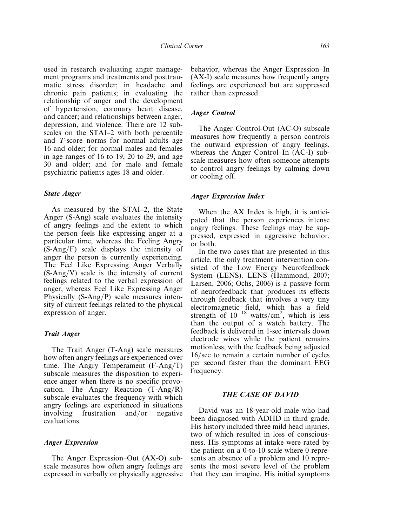used in research evaluating anger management programs and treatments and posttraumatic stress disorder; in headache and chronic pain patients; in evaluating the relationship of anger and the development of hypertension, coronary heart disease, and cancer; and relationships between anger, depression, and violence. There are 12 subscales on the STAI–2 with both percentile and T-score norms for normal adults age 16 and older; for normal males and females in age ranges of 16 to 19, 20 to 29, and age 30 and older; and for male and female psychiatric patients ages 18 and older.

#### State Anger

As measured by the STAI–2, the State Anger (S-Ang) scale evaluates the intensity of angry feelings and the extent to which the person feels like expressing anger at a particular time, whereas the Feeling Angry  $(S-Ang/F)$  scale displays the intensity of anger the person is currently experiencing. The Feel Like Expressing Anger Verbally  $(S-Ang/V)$  scale is the intensity of current feelings related to the verbal expression of anger, whereas Feel Like Expressing Anger Physically  $(S-Ang/P)$  scale measures intensity of current feelings related to the physical expression of anger.

#### Trait Anger

The Trait Anger (T-Ang) scale measures how often angry feelings are experienced over time. The Angry Temperament  $(F-Ang/T)$ subscale measures the disposition to experience anger when there is no specific provocation. The Angry Reaction  $(T-Ang/R)$ subscale evaluates the frequency with which angry feelings are experienced in situations involving frustration and/or negative evaluations.

## Anger Expression

The Anger Expression–Out (AX-O) subscale measures how often angry feelings are expressed in verbally or physically aggressive behavior, whereas the Anger Expression–In (AX-I) scale measures how frequently angry feelings are experienced but are suppressed rather than expressed.

### Anger Control

The Anger Control-Out (AC-O) subscale measures how frequently a person controls the outward expression of angry feelings, whereas the Anger Control–In (AC-I) subscale measures how often someone attempts to control angry feelings by calming down or cooling off.

#### Anger Expression Index

When the AX Index is high, it is anticipated that the person experiences intense angry feelings. These feelings may be suppressed, expressed in aggressive behavior, or both.

In the two cases that are presented in this article, the only treatment intervention consisted of the Low Energy Neurofeedback System (LENS). LENS (Hammond, 2007; Larsen, 2006; Ochs, 2006) is a passive form of neurofeedback that produces its effects through feedback that involves a very tiny electromagnetic field, which has a field strength of  $10^{-18}$  watts/cm<sup>2</sup>, which is less than the output of a watch battery. The feedback is delivered in 1-sec intervals down electrode wires while the patient remains motionless, with the feedback being adjusted  $16$ /sec to remain a certain number of cycles per second faster than the dominant EEG frequency.

### THE CASE OF DAVID

David was an 18-year-old male who had been diagnosed with ADHD in third grade. His history included three mild head injuries, two of which resulted in loss of consciousness. His symptoms at intake were rated by the patient on a 0-to-10 scale where 0 represents an absence of a problem and 10 represents the most severe level of the problem that they can imagine. His initial symptoms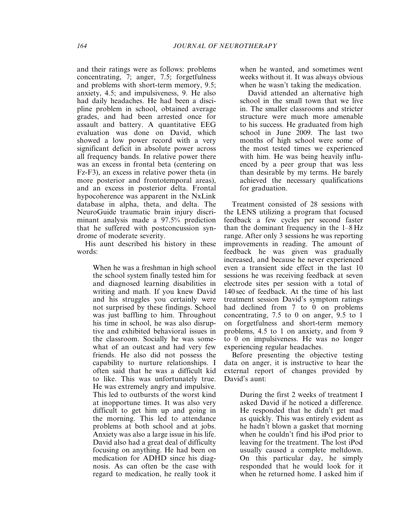and their ratings were as follows: problems concentrating, 7; anger, 7.5; forgetfulness and problems with short-term memory, 9.5; anxiety, 4.5; and impulsiveness, 9. He also had daily headaches. He had been a discipline problem in school, obtained average grades, and had been arrested once for assault and battery. A quantitative EEG evaluation was done on David, which showed a low power record with a very significant deficit in absolute power across all frequency bands. In relative power there was an excess in frontal beta (centering on Fz-F3), an excess in relative power theta (in more posterior and frontotemporal areas), and an excess in posterior delta. Frontal hypocoherence was apparent in the NxLink database in alpha, theta, and delta. The NeuroGuide traumatic brain injury discriminant analysis made a 97.5% prediction that he suffered with postconcussion syndrome of moderate severity.

His aunt described his history in these words:

> When he was a freshman in high school the school system finally tested him for and diagnosed learning disabilities in writing and math. If you knew David and his struggles you certainly were not surprised by these findings. School was just baffling to him. Throughout his time in school, he was also disruptive and exhibited behavioral issues in the classroom. Socially he was somewhat of an outcast and had very few friends. He also did not possess the capability to nurture relationships. I often said that he was a difficult kid to like. This was unfortunately true. He was extremely angry and impulsive. This led to outbursts of the worst kind at inopportune times. It was also very difficult to get him up and going in the morning. This led to attendance problems at both school and at jobs. Anxiety was also a large issue in his life. David also had a great deal of difficulty focusing on anything. He had been on medication for ADHD since his diagnosis. As can often be the case with regard to medication, he really took it

when he wanted, and sometimes went weeks without it. It was always obvious when he wasn't taking the medication.

David attended an alternative high school in the small town that we live in. The smaller classrooms and stricter structure were much more amenable to his success. He graduated from high school in June 2009. The last two months of high school were some of the most tested times we experienced with him. He was being heavily influenced by a peer group that was less than desirable by my terms. He barely achieved the necessary qualifications for graduation.

Treatment consisted of 28 sessions with the LENS utilizing a program that focused feedback a few cycles per second faster than the dominant frequency in the 1–8 Hz range. After only 3 sessions he was reporting improvements in reading. The amount of feedback he was given was gradually increased, and because he never experienced even a transient side effect in the last 10 sessions he was receiving feedback at seven electrode sites per session with a total of 140 sec of feedback. At the time of his last treatment session David's symptom ratings had declined from 7 to 0 on problems concentrating, 7.5 to 0 on anger, 9.5 to 1 on forgetfulness and short-term memory problems, 4.5 to 1 on anxiety, and from 9 to 0 on impulsiveness. He was no longer experiencing regular headaches.

Before presenting the objective testing data on anger, it is instructive to hear the external report of changes provided by David's aunt:

> During the first 2 weeks of treatment I asked David if he noticed a difference. He responded that he didn't get mad as quickly. This was entirely evident as he hadn't blown a gasket that morning when he couldn't find his iPod prior to leaving for the treatment. The lost iPod usually caused a complete meltdown. On this particular day, he simply responded that he would look for it when he returned home. I asked him if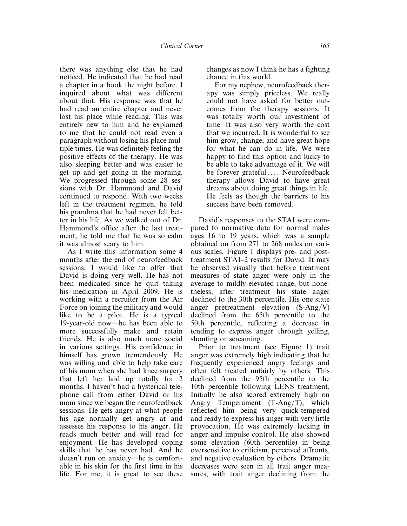there was anything else that he had noticed. He indicated that he had read a chapter in a book the night before. I inquired about what was different about that. His response was that he had read an entire chapter and never lost his place while reading. This was entirely new to him and he explained to me that he could not read even a paragraph without losing his place multiple times. He was definitely feeling the positive effects of the therapy. He was also sleeping better and was easier to get up and get going in the morning. We progressed through some 28 sessions with Dr. Hammond and David continued to respond. With two weeks left in the treatment regimen, he told his grandma that he had never felt better in his life. As we walked out of Dr. Hammond's office after the last treatment, he told me that he was so calm it was almost scary to him.

As I write this information some 4 months after the end of neurofeedback sessions, I would like to offer that David is doing very well. He has not been medicated since he quit taking his medication in April 2009. He is working with a recruiter from the Air Force on joining the military and would like to be a pilot. He is a typical 19-year-old now—he has been able to more successfully make and retain friends. He is also much more social in various settings. His confidence in himself has grown tremendously. He was willing and able to help take care of his mom when she had knee surgery that left her laid up totally for 2 months. I haven't had a hysterical telephone call from either David or his mom since we began the neurofeedback sessions. He gets angry at what people his age normally get angry at and assesses his response to his anger. He reads much better and will read for enjoyment. He has developed coping skills that he has never had. And he doesn't run on anxiety—he is comfortable in his skin for the first time in his life. For me, it is great to see these changes as now I think he has a fighting chance in this world.

For my nephew, neurofeedback therapy was simply priceless. We really could not have asked for better outcomes from the therapy sessions. It was totally worth our investment of time. It was also very worth the cost that we incurred. It is wonderful to see him grow, change, and have great hope for what he can do in life. We were happy to find this option and lucky to be able to take advantage of it. We will be forever grateful ... . Neurofeedback therapy allows David to have great dreams about doing great things in life. He feels as though the barriers to his success have been removed.

David's responses to the STAI were compared to normative data for normal males ages 16 to 19 years, which was a sample obtained on from 271 to 268 males on various scales. Figure 1 displays pre- and posttreatment STAI–2 results for David. It may be observed visually that before treatment measures of state anger were only in the average to mildly elevated range, but nonetheless, after treatment his state anger declined to the 30th percentile. His one state anger pretreatment elevation  $(S-Ang/V)$ declined from the 65th percentile to the 50th percentile, reflecting a decrease in tending to express anger through yelling, shouting or screaming.

Prior to treatment (see Figure 1) trait anger was extremely high indicating that he frequently experienced angry feelings and often felt treated unfairly by others. This declined from the 95th percentile to the 10th percentile following LENS treatment. Initially he also scored extremely high on Angry Temperament  $(T-Ang/T)$ , which reflected him being very quick-tempered and ready to express his anger with very little provocation. He was extremely lacking in anger and impulse control. He also showed some elevation (60th percentile) in being oversensitive to criticism, perceived affronts, and negative evaluation by others. Dramatic decreases were seen in all trait anger measures, with trait anger declining from the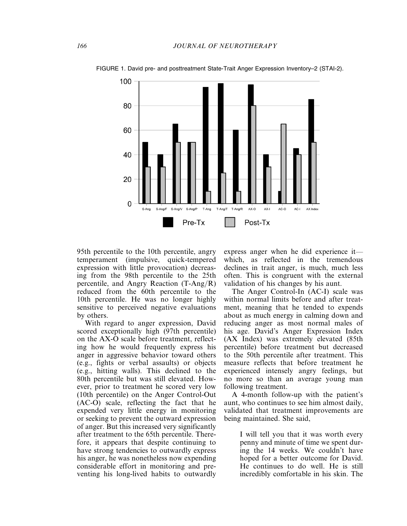

FIGURE 1. David pre- and posttreatment State-Trait Anger Expression Inventory–2 (STAI-2).

95th percentile to the 10th percentile, angry temperament (impulsive, quick-tempered expression with little provocation) decreasing from the 98th percentile to the 25th percentile, and Angry Reaction  $(T-Ang/R)$ reduced from the 60th percentile to the 10th percentile. He was no longer highly sensitive to perceived negative evaluations by others.

With regard to anger expression, David scored exceptionally high (97th percentile) on the AX-O scale before treatment, reflecting how he would frequently express his anger in aggressive behavior toward others (e.g., fights or verbal assaults) or objects (e.g., hitting walls). This declined to the 80th percentile but was still elevated. However, prior to treatment he scored very low (10th percentile) on the Anger Control-Out (AC-O) scale, reflecting the fact that he expended very little energy in monitoring or seeking to prevent the outward expression of anger. But this increased very significantly after treatment to the 65th percentile. Therefore, it appears that despite continuing to have strong tendencies to outwardly express his anger, he was nonetheless now expending considerable effort in monitoring and preventing his long-lived habits to outwardly express anger when he did experience it which, as reflected in the tremendous declines in trait anger, is much, much less often. This is congruent with the external validation of his changes by his aunt.

The Anger Control-In (AC-I) scale was within normal limits before and after treatment, meaning that he tended to expends about as much energy in calming down and reducing anger as most normal males of his age. David's Anger Expression Index (AX Index) was extremely elevated (85th percentile) before treatment but decreased to the 50th percentile after treatment. This measure reflects that before treatment he experienced intensely angry feelings, but no more so than an average young man following treatment.

A 4-month follow-up with the patient's aunt, who continues to see him almost daily, validated that treatment improvements are being maintained. She said,

> I will tell you that it was worth every penny and minute of time we spent during the 14 weeks. We couldn't have hoped for a better outcome for David. He continues to do well. He is still incredibly comfortable in his skin. The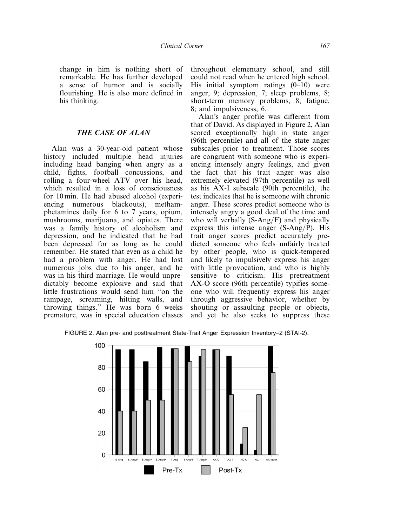change in him is nothing short of remarkable. He has further developed a sense of humor and is socially flourishing. He is also more defined in his thinking.

## THE CASE OF ALAN

Alan was a 30-year-old patient whose history included multiple head injuries including head banging when angry as a child, fights, football concussions, and rolling a four-wheel ATV over his head, which resulted in a loss of consciousness for 10 min. He had abused alcohol (experiencing numerous blackouts), methamphetamines daily for 6 to 7 years, opium, mushrooms, marijuana, and opiates. There was a family history of alcoholism and depression, and he indicated that he had been depressed for as long as he could remember. He stated that even as a child he had a problem with anger. He had lost numerous jobs due to his anger, and he was in his third marriage. He would unpredictably become explosive and said that little frustrations would send him ''on the rampage, screaming, hitting walls, and throwing things.'' He was born 6 weeks premature, was in special education classes

throughout elementary school, and still could not read when he entered high school. His initial symptom ratings  $(0-10)$  were anger, 9; depression, 7; sleep problems, 8; short-term memory problems, 8; fatigue, 8; and impulsiveness, 6.

Alan's anger profile was different from that of David. As displayed in Figure 2, Alan scored exceptionally high in state anger (96th percentile) and all of the state anger subscales prior to treatment. Those scores are congruent with someone who is experiencing intensely angry feelings, and given the fact that his trait anger was also extremely elevated (97th percentile) as well as his AX-I subscale (90th percentile), the test indicates that he is someone with chronic anger. These scores predict someone who is intensely angry a good deal of the time and who will verbally  $(S-Ang/F)$  and physically express this intense anger  $(S-Ang/P)$ . His trait anger scores predict accurately predicted someone who feels unfairly treated by other people, who is quick-tempered and likely to impulsively express his anger with little provocation, and who is highly sensitive to criticism. His pretreatment AX-O score (96th percentile) typifies someone who will frequently express his anger through aggressive behavior, whether by shouting or assaulting people or objects, and yet he also seeks to suppress these

FIGURE 2. Alan pre- and posttreatment State-Trait Anger Expression Inventory–2 (STAI-2).

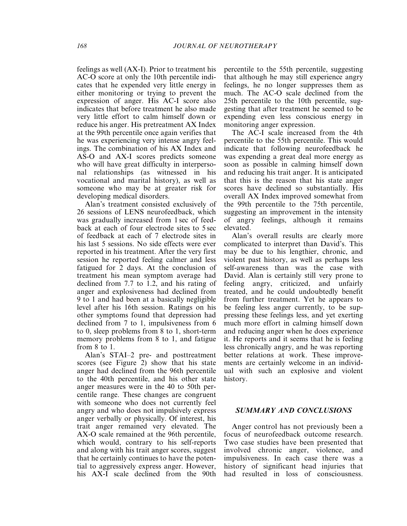feelings as well (AX-I). Prior to treatment his AC-O score at only the 10th percentile indicates that he expended very little energy in either monitoring or trying to prevent the expression of anger. His AC-I score also indicates that before treatment he also made very little effort to calm himself down or reduce his anger. His pretreatment AX Index at the 99th percentile once again verifies that he was experiencing very intense angry feelings. The combination of his AX Index and AS-O and AX-I scores predicts someone who will have great difficulty in interpersonal relationships (as witnessed in his vocational and marital history), as well as someone who may be at greater risk for developing medical disorders.

Alan's treatment consisted exclusively of 26 sessions of LENS neurofeedback, which was gradually increased from 1 sec of feedback at each of four electrode sites to 5 sec of feedback at each of 7 electrode sites in his last 5 sessions. No side effects were ever reported in his treatment. After the very first session he reported feeling calmer and less fatigued for 2 days. At the conclusion of treatment his mean symptom average had declined from 7.7 to 1.2, and his rating of anger and explosiveness had declined from 9 to 1 and had been at a basically negligible level after his 16th session. Ratings on his other symptoms found that depression had declined from 7 to 1, impulsiveness from 6 to 0, sleep problems from 8 to 1, short-term memory problems from 8 to 1, and fatigue from 8 to 1.

Alan's STAI–2 pre- and posttreatment scores (see Figure 2) show that his state anger had declined from the 96th percentile to the 40th percentile, and his other state anger measures were in the 40 to 50th percentile range. These changes are congruent with someone who does not currently feel angry and who does not impulsively express anger verbally or physically. Of interest, his trait anger remained very elevated. The AX-O scale remained at the 96th percentile, which would, contrary to his self-reports and along with his trait anger scores, suggest that he certainly continues to have the potential to aggressively express anger. However, his AX-I scale declined from the 90th percentile to the 55th percentile, suggesting that although he may still experience angry feelings, he no longer suppresses them as much. The AC-O scale declined from the 25th percentile to the 10th percentile, suggesting that after treatment he seemed to be expending even less conscious energy in monitoring anger expression.

The AC-I scale increased from the 4th percentile to the 55th percentile. This would indicate that following neurofeedback he was expending a great deal more energy as soon as possible in calming himself down and reducing his trait anger. It is anticipated that this is the reason that his state anger scores have declined so substantially. His overall AX Index improved somewhat from the 99th percentile to the 75th percentile, suggesting an improvement in the intensity of angry feelings, although it remains elevated.

Alan's overall results are clearly more complicated to interpret than David's. This may be due to his lengthier, chronic, and violent past history, as well as perhaps less self-awareness than was the case with David. Alan is certainly still very prone to feeling angry, criticized, and unfairly treated, and he could undoubtedly benefit from further treatment. Yet he appears to be feeling less anger currently, to be suppressing these feelings less, and yet exerting much more effort in calming himself down and reducing anger when he does experience it. He reports and it seems that he is feeling less chronically angry, and he was reporting better relations at work. These improvements are certainly welcome in an individual with such an explosive and violent history.

## SUMMARY AND CONCLUSIONS

Anger control has not previously been a focus of neurofeedback outcome research. Two case studies have been presented that involved chronic anger, violence, and impulsiveness. In each case there was a history of significant head injuries that had resulted in loss of consciousness.